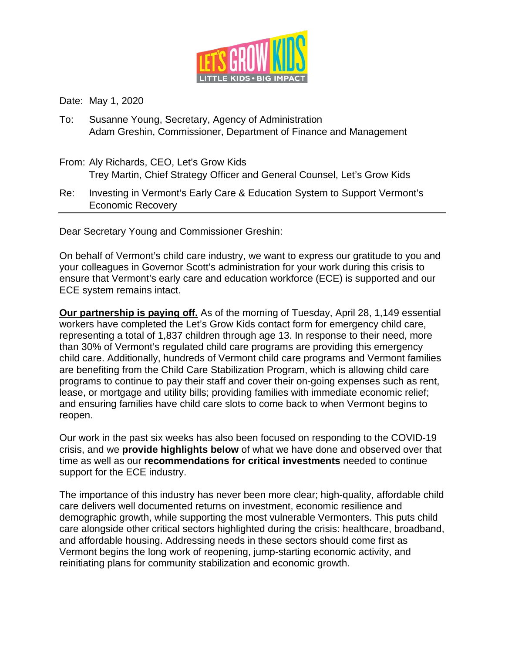

Date: May 1, 2020

- To: Susanne Young, Secretary, Agency of Administration Adam Greshin, Commissioner, Department of Finance and Management
- From: Aly Richards, CEO, Let's Grow Kids Trey Martin, Chief Strategy Officer and General Counsel, Let's Grow Kids
- Re: Investing in Vermont's Early Care & Education System to Support Vermont's Economic Recovery

Dear Secretary Young and Commissioner Greshin:

On behalf of Vermont's child care industry, we want to express our gratitude to you and your colleagues in Governor Scott's administration for your work during this crisis to ensure that Vermont's early care and education workforce (ECE) is supported and our ECE system remains intact.

**Our partnership is paying off.** As of the morning of Tuesday, April 28, 1,149 essential workers have completed the Let's Grow Kids contact form for emergency child care, representing a total of 1,837 children through age 13. In response to their need, more than 30% of Vermont's regulated child care programs are providing this emergency child care. Additionally, hundreds of Vermont child care programs and Vermont families are benefiting from the Child Care Stabilization Program, which is allowing child care programs to continue to pay their staff and cover their on-going expenses such as rent, lease, or mortgage and utility bills; providing families with immediate economic relief; and ensuring families have child care slots to come back to when Vermont begins to reopen.

Our work in the past six weeks has also been focused on responding to the COVID-19 crisis, and we **provide highlights below** of what we have done and observed over that time as well as our **recommendations for critical investments** needed to continue support for the ECE industry.

The importance of this industry has never been more clear; high-quality, affordable child care delivers well documented returns on investment, economic resilience and demographic growth, while supporting the most vulnerable Vermonters. This puts child care alongside other critical sectors highlighted during the crisis: healthcare, broadband, and affordable housing. Addressing needs in these sectors should come first as Vermont begins the long work of reopening, jump-starting economic activity, and reinitiating plans for community stabilization and economic growth.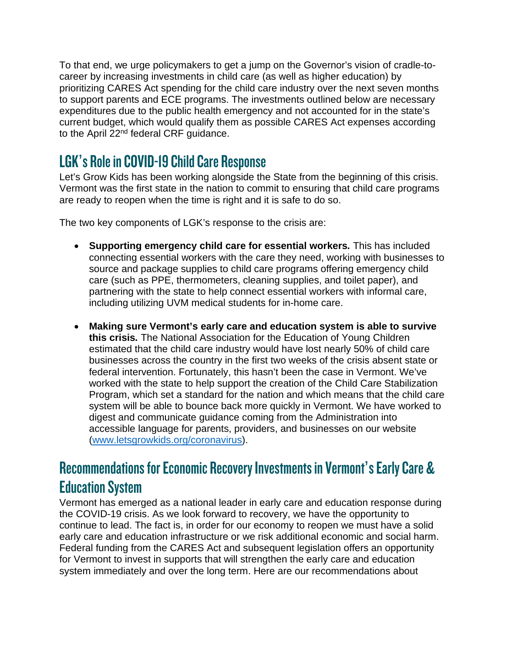To that end, we urge policymakers to get a jump on the Governor's vision of cradle-tocareer by increasing investments in child care (as well as higher education) by prioritizing CARES Act spending for the child care industry over the next seven months to support parents and ECE programs. The investments outlined below are necessary expenditures due to the public health emergency and not accounted for in the state's current budget, which would qualify them as possible CARES Act expenses according to the April 22<sup>nd</sup> federal CRF guidance.

## LGK's Role in COVID-19 Child Care Response

Let's Grow Kids has been working alongside the State from the beginning of this crisis. Vermont was the first state in the nation to commit to ensuring that child care programs are ready to reopen when the time is right and it is safe to do so.

The two key components of LGK's response to the crisis are:

- **Supporting emergency child care for essential workers***.* This has included connecting essential workers with the care they need, working with businesses to source and package supplies to child care programs offering emergency child care (such as PPE, thermometers, cleaning supplies, and toilet paper), and partnering with the state to help connect essential workers with informal care, including utilizing UVM medical students for in-home care.
- **Making sure Vermont's early care and education system is able to survive this crisis***.* The National Association for the Education of Young Children estimated that the child care industry would have lost nearly 50% of child care businesses across the country in the first two weeks of the crisis absent state or federal intervention. Fortunately, this hasn't been the case in Vermont. We've worked with the state to help support the creation of the Child Care Stabilization Program, which set a standard for the nation and which means that the child care system will be able to bounce back more quickly in Vermont. We have worked to digest and communicate guidance coming from the Administration into accessible language for parents, providers, and businesses on our website [\(www.letsgrowkids.org/coronavirus\)](http://www.letsgrowkids.org/coronavirus).

## Recommendations for Economic Recovery Investments in Vermont's Early Care & Education System

Vermont has emerged as a national leader in early care and education response during the COVID-19 crisis. As we look forward to recovery, we have the opportunity to continue to lead. The fact is, in order for our economy to reopen we must have a solid early care and education infrastructure or we risk additional economic and social harm. Federal funding from the CARES Act and subsequent legislation offers an opportunity for Vermont to invest in supports that will strengthen the early care and education system immediately and over the long term. Here are our recommendations about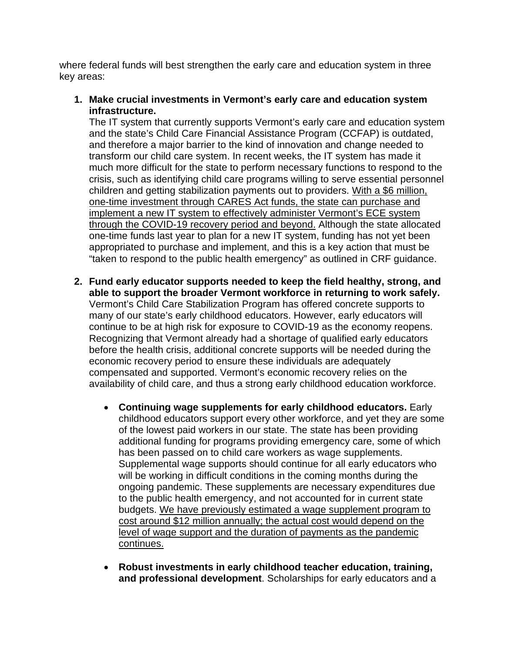where federal funds will best strengthen the early care and education system in three key areas:

**1. Make crucial investments in Vermont's early care and education system infrastructure.**

The IT system that currently supports Vermont's early care and education system and the state's Child Care Financial Assistance Program (CCFAP) is outdated, and therefore a major barrier to the kind of innovation and change needed to transform our child care system. In recent weeks, the IT system has made it much more difficult for the state to perform necessary functions to respond to the crisis, such as identifying child care programs willing to serve essential personnel children and getting stabilization payments out to providers. With a \$6 million, one-time investment through CARES Act funds, the state can purchase and implement a new IT system to effectively administer Vermont's ECE system through the COVID-19 recovery period and beyond. Although the state allocated one-time funds last year to plan for a new IT system, funding has not yet been appropriated to purchase and implement, and this is a key action that must be "taken to respond to the public health emergency" as outlined in CRF guidance.

- **2. Fund early educator supports needed to keep the field healthy, strong, and able to support the broader Vermont workforce in returning to work safely.**  Vermont's Child Care Stabilization Program has offered concrete supports to many of our state's early childhood educators. However, early educators will continue to be at high risk for exposure to COVID-19 as the economy reopens. Recognizing that Vermont already had a shortage of qualified early educators before the health crisis, additional concrete supports will be needed during the economic recovery period to ensure these individuals are adequately compensated and supported. Vermont's economic recovery relies on the availability of child care, and thus a strong early childhood education workforce.
	- **Continuing wage supplements for early childhood educators.** Early childhood educators support every other workforce, and yet they are some of the lowest paid workers in our state. The state has been providing additional funding for programs providing emergency care, some of which has been passed on to child care workers as wage supplements. Supplemental wage supports should continue for all early educators who will be working in difficult conditions in the coming months during the ongoing pandemic. These supplements are necessary expenditures due to the public health emergency, and not accounted for in current state budgets. We have previously estimated a wage supplement program to cost around \$12 million annually; the actual cost would depend on the level of wage support and the duration of payments as the pandemic continues.
	- **Robust investments in early childhood teacher education, training, and professional development**. Scholarships for early educators and a